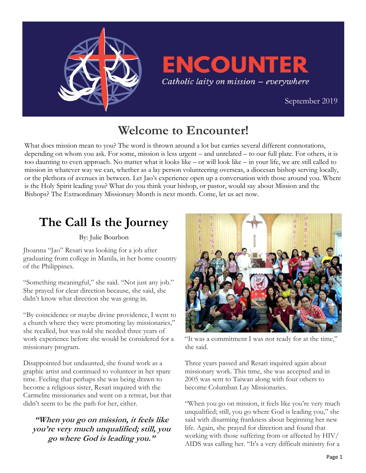

# **ENCOUNTER** Catholic laity on mission - everywhere

 [September 2019](https://uscatholicmission.org/encounter)

## **Welcome to Encounter!**

What does mission mean to you? The word is thrown around a lot but carries several different connotations, depending on whom you ask. For some, mission is less urgent – and unrelated – to our full plate. For others, it is too daunting to even approach. No matter what it looks like – or will look like – in your life, we are still called to mission in whatever way we can, whether as a lay person volunteering overseas, a diocesan bishop serving locally, or the plethora of avenues in between. Let Jao's experience open up a conversation with those around you. Where is the Holy Spirit leading you? What do you think your bishop, or pastor, would say about Mission and the Bishops? The Extraordinary Missionary Month is next month. Come, let us act now.

## **The Call Is the Journey**

By: Julie Bourbon

Jhoanna "Jao" Resari was looking for a job after graduating from college in Manila, in her home country of the Philippines.

"Something meaningful," she said. "Not just any job." She prayed for clear direction because, she said, she didn't know what direction she was going in.

"By coincidence or maybe divine providence, I went to a church where they were promoting lay missionaries," she recalled, but was told she needed three years of work experience before she would be considered for a missionary program.

Disappointed but undaunted, she found work as a graphic artist and continued to volunteer in her spare time. Feeling that perhaps she was being drawn to become a religious sister, Resari inquired with the Carmelite missionaries and went on a retreat, but that didn't seem to be the path for her, either.

**"When you go on mission, it feels like you're very much unqualified; still, you go where God is leading you."** 



"It was a commitment I was not ready for at the time," she said.

Three years passed and Resari inquired again about missionary work. This time, she was accepted and in 2005 was sent to Taiwan along with four others to become Columban Lay Missionaries.

"When you go on mission, it feels like you're very much unqualified; still, you go where God is leading you," she said with disarming frankness about beginning her new life. Again, she prayed for direction and found that working with those suffering from or affected by HIV/ AIDS was calling her. "It's a very difficult ministry for a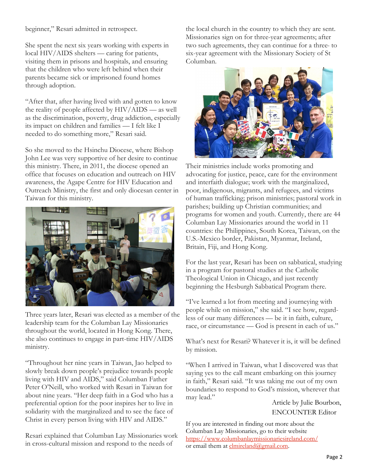#### beginner," Resari admitted in retrospect.

She spent the next six years working with experts in local HIV/AIDS shelters — caring for patients, visiting them in prisons and hospitals, and ensuring that the children who were left behind when their parents became sick or imprisoned found homes through adoption.

"After that, after having lived with and gotten to know the reality of people affected by HIV/AIDS — as well as the discrimination, poverty, drug addiction, especially its impact on children and families — I felt like I needed to do something more," Resari said.

So she moved to the Hsinchu Diocese, where Bishop John Lee was very supportive of her desire to continue this ministry. There, in 2011, the diocese opened an office that focuses on education and outreach on HIV awareness, the Agape Centre for HIV Education and Outreach Ministry, the first and only diocesan center in Taiwan for this ministry.



Three years later, Resari was elected as a member of the leadership team for the Columban Lay Missionaries throughout the world, located in Hong Kong. There, she also continues to engage in part-time HIV/AIDS ministry.

"Throughout her nine years in Taiwan, Jao helped to slowly break down people's prejudice towards people living with HIV and AIDS," said Columban Father Peter O'Neill, who worked with Resari in Taiwan for about nine years. "Her deep faith in a God who has a preferential option for the poor inspires her to live in solidarity with the marginalized and to see the face of Christ in every person living with HIV and AIDS."

Resari explained that Columban Lay Missionaries work in cross-cultural mission and respond to the needs of

the local church in the country to which they are sent. Missionaries sign on for three-year agreements; after two such agreements, they can continue for a three- to six-year agreement with the Missionary Society of St Columban.



Their ministries include works promoting and advocating for justice, peace, care for the environment and interfaith dialogue; work with the marginalized, poor, indigenous, migrants, and refugees, and victims of human trafficking; prison ministries; pastoral work in parishes; building up Christian communities; and programs for women and youth. Currently, there are 44 Columban Lay Missionaries around the world in 11 countries: the Philippines, South Korea, Taiwan, on the U.S.-Mexico border, Pakistan, Myanmar, Ireland, Britain, Fiji, and Hong Kong.

For the last year, Resari has been on sabbatical, studying in a program for pastoral studies at the Catholic Theological Union in Chicago, and just recently beginning the Hesburgh Sabbatical Program there.

"I've learned a lot from meeting and journeying with people while on mission," she said. "I see how, regardless of our many differences — be it in faith, culture, race, or circumstance — God is present in each of us."

What's next for Resari? Whatever it is, it will be defined by mission.

"When I arrived in Taiwan, what I discovered was that saying yes to the call meant embarking on this journey in faith," Resari said. "It was taking me out of my own boundaries to respond to God's mission, wherever that may lead."

Article by Julie Bourbon, ENCOUNTER Editor

If you are interested in finding out more about the Columban Lay Missionaries, go to their website <https://www.columbanlaymissionariesireland.com/> or email them at [clmireland@gmail.com.](mailto:clmireland@gmail.com)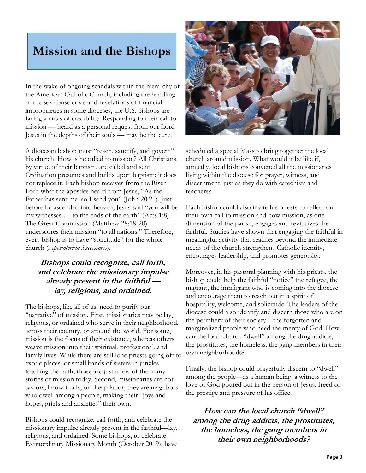### **Mission and the Bishops**

In the wake of ongoing scandals within the hierarchy of the American Catholic Church, including the handling of the sex abuse crisis and revelations of financial improprieties in some dioceses, the U.S. bishops are facing a crisis of credibility. Responding to their call to mission — heard as a personal request from our Lord Jesus in the depths of their souls — may be the cure.

A diocesan bishop must "teach, sanctify, and govern" his church. How is he called to mission? All Christians, by virtue of their baptism, are called and sent. Ordination presumes and builds upon baptism; it does not replace it. Each bishop receives from the Risen Lord what the apostles heard from Jesus, "As the Father has sent me, so I send you" (John 20:21). Just before he ascended into heaven, Jesus said "you will be my witnesses … to the ends of the earth" (Acts 1:8). The Great Commission (Matthew 28:18-20) underscores their mission "to all nations." Therefore, every bishop is to have "solicitude" for the whole church (*Apostolorum Successores*).

### **Bishops could recognize, call forth, and celebrate the missionary impulse already present in the faithful lay, religious, and ordained.**

The bishops, like all of us, need to purify our "narrative" of mission. First, missionaries may be lay, religious, or ordained who serve in their neighborhood, across their country, or around the world. For some, mission is the focus of their existence, whereas others weave mission into their spiritual, professional, and family lives. While there are still lone priests going off to exotic places, or small bands of sisters in jungles teaching the faith, those are just a few of the many stories of mission today. Second, missionaries are not saviors, know-it-alls, or cheap labor; they are neighbors who dwell among a people, making their "joys and hopes, griefs and anxieties" their own.

Bishops could recognize, call forth, and celebrate the missionary impulse already present in the faithful—lay, religious, and ordained. Some bishops, to celebrate Extraordinary Missionary Month (October 2019), have



scheduled a special Mass to bring together the local church around mission. What would it be like if, annually, local bishops convened all the missionaries living within the diocese for prayer, witness, and discernment, just as they do with catechists and teachers?

Each bishop could also invite his priests to reflect on their own call to mission and how mission, as one dimension of the parish, engages and revitalizes the faithful. Studies have shown that engaging the faithful in meaningful activity that reaches beyond the immediate needs of the church strengthens Catholic identity, encourages leadership, and promotes generosity.

Moreover, in his pastoral planning with his priests, the bishop could help the faithful "notice" the refugee, the migrant, the immigrant who is coming into the diocese and encourage them to reach out in a spirit of hospitality, welcome, and solicitude. The leaders of the diocese could also identify and discern those who are on the periphery of their society—the forgotten and marginalized people who need the mercy of God. How can the local church "dwell" among the drug addicts, the prostitutes, the homeless, the gang members in their own neighborhoods?

Finally, the bishop could prayerfully discern to "dwell" among the people—as a human being, a witness to the love of God poured out in the person of Jesus, freed of the prestige and pressure of his office.

**How can the local church "dwell" among the drug addicts, the prostitutes, the homeless, the gang members in their own neighborhoods?**